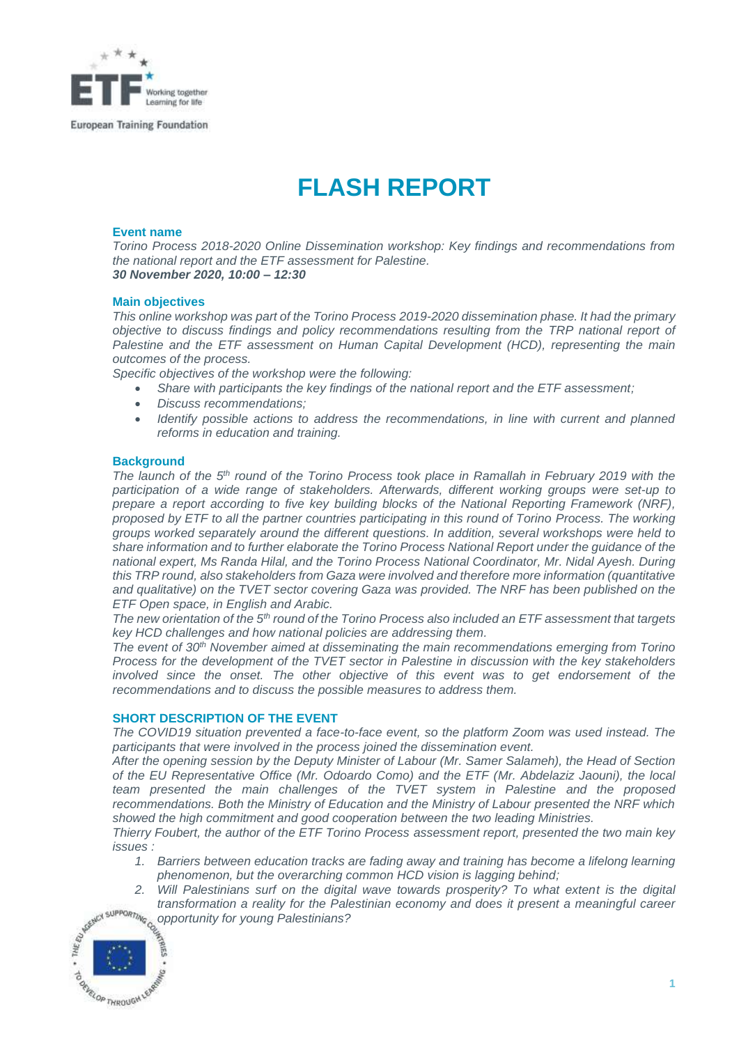

# **FLASH REPORT**

# **Event name**

*Torino Process 2018-2020 Online Dissemination workshop: Key findings and recommendations from the national report and the ETF assessment for Palestine. 30 November 2020, 10:00 – 12:30*

### **Main objectives**

*This online workshop was part of the Torino Process 2019-2020 dissemination phase. It had the primary objective to discuss findings and policy recommendations resulting from the TRP national report of Palestine and the ETF assessment on Human Capital Development (HCD), representing the main outcomes of the process.*

*Specific objectives of the workshop were the following:* 

- *Share with participants the key findings of the national report and the ETF assessment;*
- *Discuss recommendations;*
- *Identify possible actions to address the recommendations, in line with current and planned reforms in education and training.*

#### **Background**

*The launch of the 5th round of the Torino Process took place in Ramallah in February 2019 with the participation of a wide range of stakeholders. Afterwards, different working groups were set-up to prepare a report according to five key building blocks of the National Reporting Framework (NRF), proposed by ETF to all the partner countries participating in this round of Torino Process. The working groups worked separately around the different questions. In addition, several workshops were held to share information and to further elaborate the Torino Process National Report under the guidance of the national expert, Ms Randa Hilal, and the Torino Process National Coordinator, Mr. Nidal Ayesh. During this TRP round, also stakeholders from Gaza were involved and therefore more information (quantitative and qualitative) on the TVET sector covering Gaza was provided. The NRF has been published on the ETF Open space, in English and Arabic.*

*The new orientation of the 5 th round of the Torino Process also included an ETF assessment that targets key HCD challenges and how national policies are addressing them.*

*The event of 30th November aimed at disseminating the main recommendations emerging from Torino Process for the development of the TVET sector in Palestine in discussion with the key stakeholders involved since the onset. The other objective of this event was to get endorsement of the recommendations and to discuss the possible measures to address them.*

#### **SHORT DESCRIPTION OF THE EVENT**

*The COVID19 situation prevented a face-to-face event, so the platform Zoom was used instead. The participants that were involved in the process joined the dissemination event.*

*After the opening session by the Deputy Minister of Labour (Mr. Samer Salameh), the Head of Section of the EU Representative Office (Mr. Odoardo Como) and the ETF (Mr. Abdelaziz Jaouni), the local team presented the main challenges of the TVET system in Palestine and the proposed recommendations. Both the Ministry of Education and the Ministry of Labour presented the NRF which showed the high commitment and good cooperation between the two leading Ministries.*

*Thierry Foubert, the author of the ETF Torino Process assessment report, presented the two main key issues :* 

- *1. Barriers between education tracks are fading away and training has become a lifelong learning phenomenon, but the overarching common HCD vision is lagging behind;*
- *2. Will Palestinians surf on the digital wave towards prosperity? To what extent is the digital transformation a reality for the Palestinian economy and does it present a meaningful career*  $\frac{1}{2}$ *transformation a reality for the Palestinian economy and does it present a meaningful career opportunity for young Palestinians?*